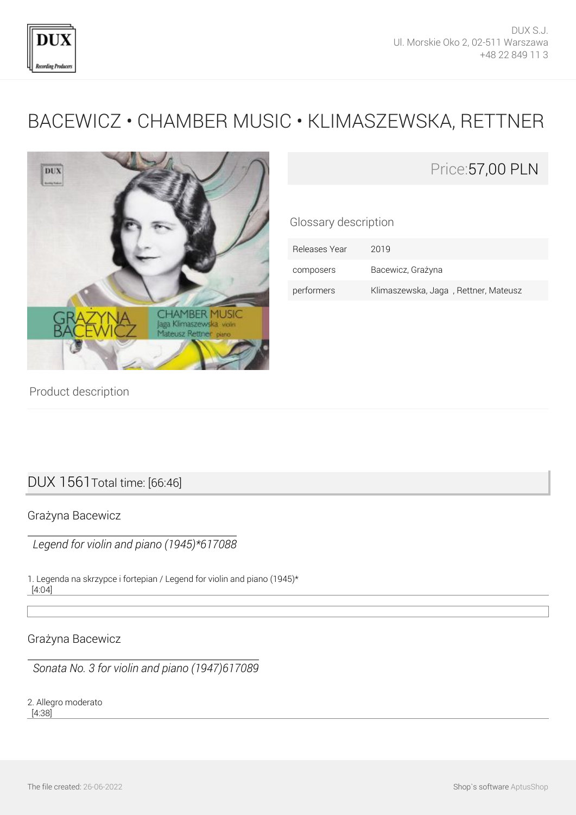

# [BACEWICZ • CHAMBER MUSIC • KLIMASZEWSKA, RETTNER](http://en.dux.pl/bacewicz-chamber-music-klimaszewska-rettner.html)



## Price:57,00 PLN

Glossary description

| Releases Year | 2019                                 |
|---------------|--------------------------------------|
| composers     | Bacewicz, Grażyna                    |
| performers    | Klimaszewska, Jaga, Rettner, Mateusz |

Product description

## DUX 1561Total time: [66:46]

#### Grażyna Bacewicz

 *Legend for violin and piano (1945)\*617088*

1. Legenda na skrzypce i fortepian / Legend for violin and piano (1945)\* [4:04]

Grażyna Bacewicz

 *Sonata No. 3 for violin and piano (1947)617089*

2. Allegro moderato [4:38]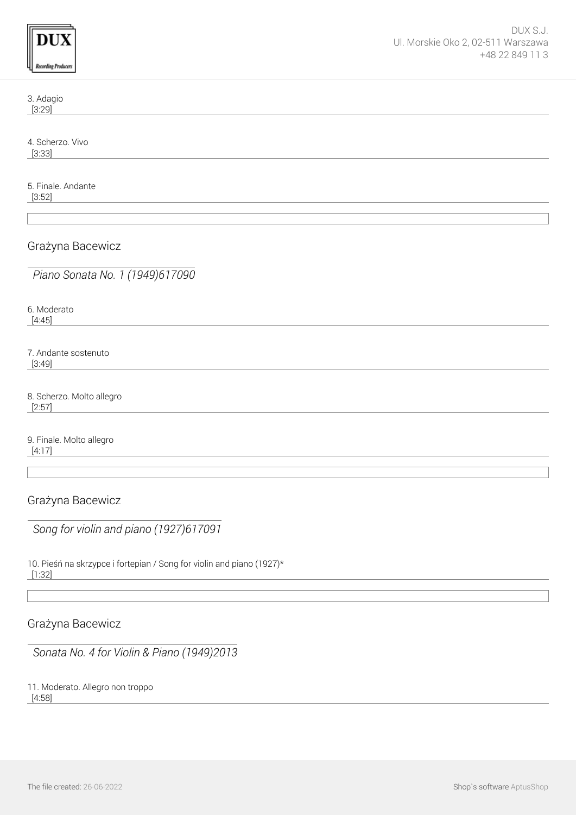| ding Prod |
|-----------|

3. Adagio [3:29]

4. Scherzo. Vivo [3:33]

5. Finale. Andante [3:52]

Grażyna Bacewicz

 *Piano Sonata No. 1 (1949)617090*

6. Moderato [4:45]

7. Andante sostenuto [3:49]

8. Scherzo. Molto allegro [2:57]

9. Finale. Molto allegro [4:17]

Grażyna Bacewicz

 *Song for violin and piano (1927)617091*

10. Pieśń na skrzypce i fortepian / Song for violin and piano (1927)\* [1:32]

Grażyna Bacewicz

 *Sonata No. 4 for Violin & Piano (1949)2013*

11. Moderato. Allegro non troppo

[4:58]